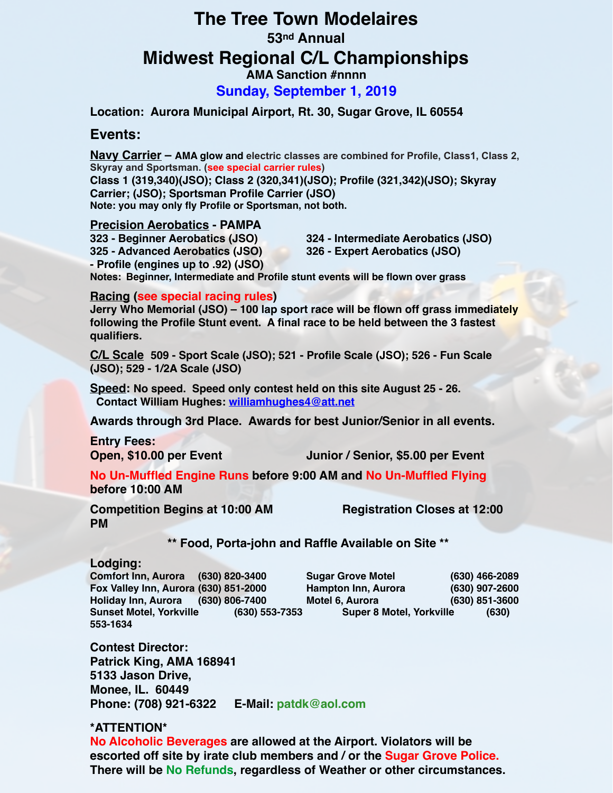# **The Tree Town Modelaires**

### **53nd Annual**

## **Midwest Regional C/L Championships**

**AMA Sanction #nnnn**

**Sunday, September 1, 2019**

**Location: Aurora Municipal Airport, Rt. 30, Sugar Grove, IL 60554**

#### **Events:**

**Navy Carrier – AMA glow and electric classes are combined for Profile, Class1, Class 2, Skyray and Sportsman. (see special carrier rules)**

**Class 1 (319,340)(JSO); Class 2 (320,341)(JSO); Profile (321,342)(JSO); Skyray Carrier; (JSO); Sportsman Profile Carrier (JSO) Note: you may only fly Profile or Sportsman, not both.**

#### **Precision Aerobatics - PAMPA**

**323 - Beginner Aerobatics (JSO) 324 - Intermediate Aerobatics (JSO) 325 - Advanced Aerobatics (JSO) 326 - Expert Aerobatics (JSO) - Profile (engines up to .92) (JSO) Notes: Beginner, Intermediate and Profile stunt events will be flown over grass**

#### **Racing (see special racing rules)**

**Jerry Who Memorial (JSO) – 100 lap sport race will be flown off grass immediately following the Profile Stunt event. A final race to be held between the 3 fastest qualifiers.**

**C/L Scale 509 - Sport Scale (JSO); 521 - Profile Scale (JSO); 526 - Fun Scale (JSO); 529 - 1/2A Scale (JSO)**

**Speed: No speed. Speed only contest held on this site August 25 - 26. Contact William Hughes: [williamhughes4@att.net](mailto:williamhughes4@att.net)**

**Awards through 3rd Place. Awards for best Junior/Senior in all events.**

**Entry Fees:**

**Open, \$10.00 per Event Junior / Senior, \$5.00 per Event**

**No Un-Muffled Engine Runs before 9:00 AM and No Un-Muffled Flying before 10:00 AM**

**Competition Begins at 10:00 AM Registration Closes at 12:00 PM**

 **\*\* Food, Porta-john and Raffle Available on Site \*\***

#### **Lodging:**

**Comfort Inn, Aurora (630) 820-3400 Sugar Grove Motel (630) 466-2089 Fox Valley Inn, Aurora (630) 851-2000 Hampton Inn, Aurora (630) 907-2600 Holiday Inn, Aurora (630) 806-7400 Motel 6, Aurora (630) 851-3600 553-1634**

**Sunset Motel, Yorkville (630) 553-7353 Super 8 Motel, Yorkville (630)** 

**Contest Director: Patrick King, AMA 168941 5133 Jason Drive, Monee, IL. 60449 Phone: (708) 921-6322 E-Mail: patdk@aol.com**

#### **\*ATTENTION\***

**No Alcoholic Beverages are allowed at the Airport. Violators will be escorted off site by irate club members and / or the Sugar Grove Police. There will be No Refunds, regardless of Weather or other circumstances.**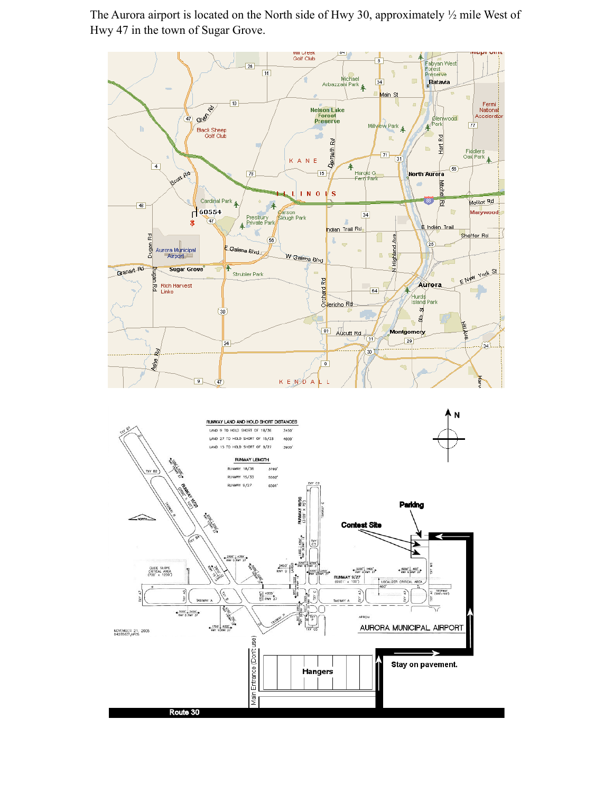The Aurora airport is located on the North side of Hwy 30, approximately ½ mile West of Hwy 47 in the town of Sugar Grove.

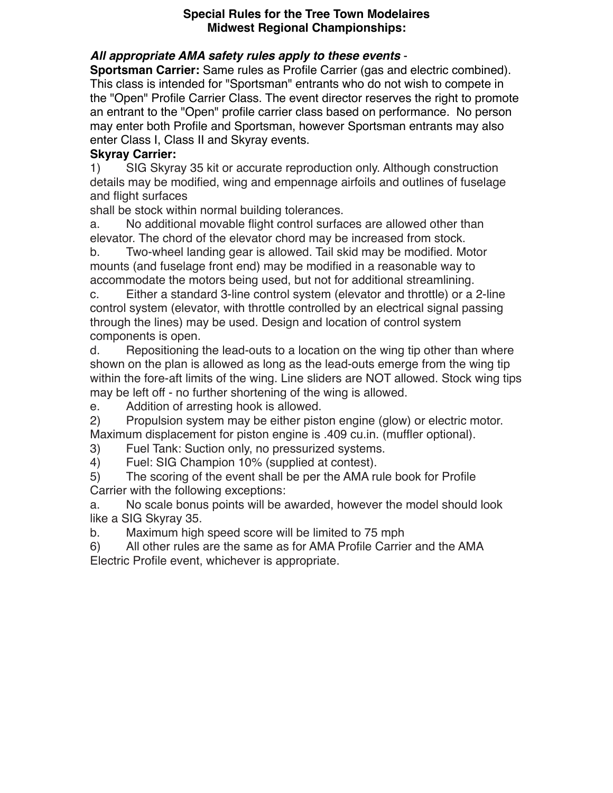#### **Special Rules for the Tree Town Modelaires Midwest Regional Championships:**

## *All appropriate AMA safety rules apply to these events* -

**Sportsman Carrier:** Same rules as Profile Carrier (gas and electric combined). This class is intended for "Sportsman" entrants who do not wish to compete in the "Open" Profile Carrier Class. The event director reserves the right to promote an entrant to the "Open" profile carrier class based on performance. No person may enter both Profile and Sportsman, however Sportsman entrants may also enter Class I, Class II and Skyray events.

## **Skyray Carrier:**

1) SIG Skyray 35 kit or accurate reproduction only. Although construction details may be modified, wing and empennage airfoils and outlines of fuselage and flight surfaces

shall be stock within normal building tolerances.

a. No additional movable flight control surfaces are allowed other than elevator. The chord of the elevator chord may be increased from stock.

b. Two-wheel landing gear is allowed. Tail skid may be modified. Motor mounts (and fuselage front end) may be modified in a reasonable way to accommodate the motors being used, but not for additional streamlining.

c. Either a standard 3-line control system (elevator and throttle) or a 2-line control system (elevator, with throttle controlled by an electrical signal passing through the lines) may be used. Design and location of control system components is open.

d. Repositioning the lead-outs to a location on the wing tip other than where shown on the plan is allowed as long as the lead-outs emerge from the wing tip within the fore-aft limits of the wing. Line sliders are NOT allowed. Stock wing tips may be left off - no further shortening of the wing is allowed.

e. Addition of arresting hook is allowed.

2) Propulsion system may be either piston engine (glow) or electric motor. Maximum displacement for piston engine is .409 cu.in. (muffler optional).

3) Fuel Tank: Suction only, no pressurized systems.

4) Fuel: SIG Champion 10% (supplied at contest).

5) The scoring of the event shall be per the AMA rule book for Profile Carrier with the following exceptions:

a. No scale bonus points will be awarded, however the model should look like a SIG Skyray 35.

b. Maximum high speed score will be limited to 75 mph

6) All other rules are the same as for AMA Profile Carrier and the AMA Electric Profile event, whichever is appropriate.